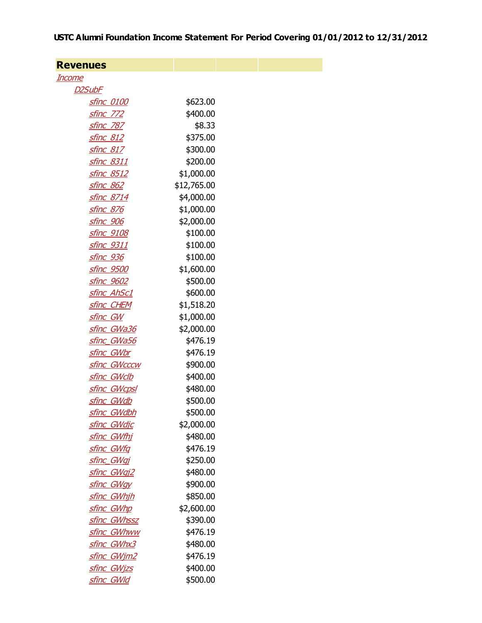## USTC Alumni Foundation Income Statement For Period Covering 01/01/2012 to 12/31/2012

| <b>Revenues</b>     |             |  |
|---------------------|-------------|--|
| <u>Income</u>       |             |  |
| D2SubF              |             |  |
| <b>sfinc 0100</b>   | \$623.00    |  |
| <u>sfinc 772</u>    | \$400.00    |  |
| <u>sfinc_787</u>    | \$8.33      |  |
| <b>sfinc 812</b>    | \$375.00    |  |
| <u>sfinc_817</u>    | \$300.00    |  |
| <u>sfinc 8311</u>   | \$200.00    |  |
| <u>sfinc_8512</u>   | \$1,000.00  |  |
| <u>sfinc 862</u>    | \$12,765.00 |  |
| <u>sfinc_8714</u>   | \$4,000.00  |  |
| <u>sfinc 876</u>    | \$1,000.00  |  |
| <u>sfinc_906</u>    | \$2,000.00  |  |
| sfinc 9108          | \$100.00    |  |
| <u>sfinc_9311</u>   | \$100.00    |  |
| sfinc 936           | \$100.00    |  |
| <u>sfinc_9500</u>   | \$1,600.00  |  |
| <u>sfinc_9602</u>   | \$500.00    |  |
| sfinc AhSc1         | \$600.00    |  |
| <u>sfinc_CHEM</u>   | \$1,518.20  |  |
| sfinc GW            | \$1,000.00  |  |
| sfinc GWa36         | \$2,000.00  |  |
| <u>sfinc_GWa56</u>  | \$476.19    |  |
| sfinc_GWbr          | \$476.19    |  |
| <b>sfinc GWcccw</b> | \$900.00    |  |
| sfinc GWclb         | \$400.00    |  |
| <u>sfinc GWcpsl</u> | \$480.00    |  |
| <u>sfinc GWdb</u>   | \$500.00    |  |
| sfinc GWdbh         | \$500.00    |  |
| sfinc GWdjc         | \$2,000.00  |  |
| <u>sfinc_GWfhj</u>  | \$480.00    |  |
| sfinc GWfg          | \$476.19    |  |
| sfinc GWgj          | \$250.00    |  |
| sfinc GWgj2         | \$480.00    |  |
| sfinc GWgy          | \$900.00    |  |
| sfinc GWhih         | \$850.00    |  |
| sfinc GWhp          | \$2,600.00  |  |
| sfinc GWhssz        | \$390.00    |  |
| sfinc_GWhww         | \$476.19    |  |
| sfinc GWhx3         | \$480.00    |  |
| sfinc_GWjm2         | \$476.19    |  |
| <u>sfinc_GWjzs</u>  | \$400.00    |  |
| <u>sfinc_GWld</u>   | \$500.00    |  |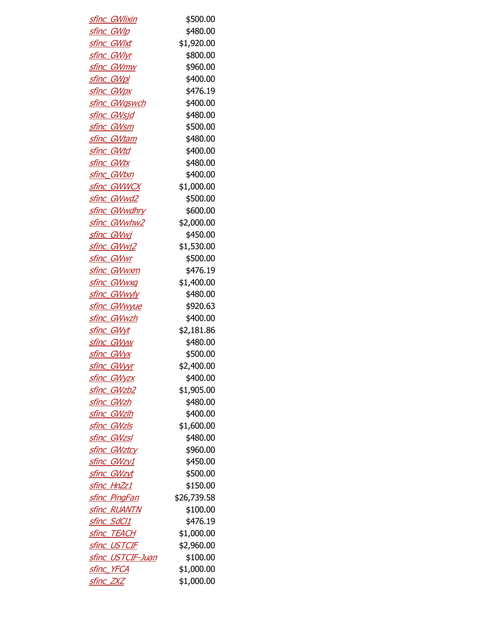| <b>sfinc GWlixin</b>     | \$500.00    |
|--------------------------|-------------|
| <u>sfinc_GWlp</u>        | \$480.00    |
| <u>sfinc_GWlxt</u>       | \$1,920.00  |
| sfinc GWlyr              | \$800.00    |
| <b>sfinc GWmw</b>        | \$960.00    |
| <u>sfinc_GWpl</u>        | \$400.00    |
| <u>sfinc_GWpx</u>        | \$476.19    |
| <u>sfinc_GWgswch</u>     | \$400.00    |
| sfinc GWsjd              | \$480.00    |
| <u>sfinc_GWsm</u>        | \$500.00    |
| <u>sfinc_GWtam</u>       | \$480.00    |
| <u>sfinc GWtd</u>        | \$400.00    |
| <u>sfinc_GWtx</u>        | \$480.00    |
| sfinc GWtxn              | \$400.00    |
| <u>sfinc_GWWCX</u>       | \$1,000.00  |
| sfinc GWwd2              | \$500.00    |
| sfinc_GWwdhry            | \$600.00    |
| sfinc GWwhw2             | \$2,000.00  |
| sfinc GWwj               | \$450.00    |
| sfinc GWwj2              | \$1,530.00  |
| <u>sfinc_GWwr</u>        | \$500.00    |
| <u>sfinc_GWwxm</u>       | \$476.19    |
| <u>sfinc_GWwxq</u>       | \$1,400.00  |
| <u>sfinc_GWwyly</u>      | \$480.00    |
| <u>sfinc_GWwyue</u>      | \$920.63    |
| <u>sfinc_GWwzh</u>       | \$400.00    |
| sfinc GWyt               | \$2,181.86  |
| <u>sfinc_GWyw</u>        | \$480.00    |
| <u>sfinc_GWyx</u>        | \$500.00    |
| sfinc GWyyr              | \$2,400.00  |
| <u>sfinc_GWyzx</u>       | \$400.00    |
| sfinc GWzb2              | \$1,905.00  |
| sfinc GWzh               | \$480.00    |
| <u>sfinc_GWzlh</u>       | \$400.00    |
| sfinc GWzls              | \$1,600.00  |
| sfinc_GWzsl              | \$480.00    |
| sfinc GWztcy             | \$960.00    |
| <u>sfinc_GWzy1</u>       | \$450.00    |
| sfinc GWzyt              | \$500.00    |
| sfinc HnZz1              | \$150.00    |
| <u>sfinc PingFan</u>     | \$26,739.58 |
| <b>sfinc RUANTN</b>      | \$100.00    |
| <u>sfinc_SdCl1</u>       | \$476.19    |
| <b>sfinc TEACH</b>       | \$1,000.00  |
| <u>sfinc_USTCIF</u>      | \$2,960.00  |
| <u>sfinc_USTCIF-Juan</u> | \$100.00    |
| <u>sfinc_YFCA</u>        | \$1,000.00  |
| sfinc ZXZ                | \$1,000.00  |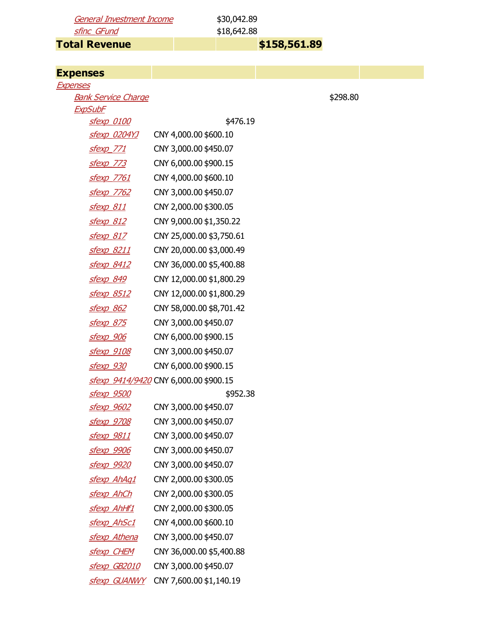General Investment Income \$30,042.89 sfinc\_GFund \$18,642.88

Total Revenue **8158,561.89** 

| <b>Expenses</b>                              |                                       |          |  |
|----------------------------------------------|---------------------------------------|----------|--|
| <u>Expenses</u>                              |                                       |          |  |
| <b>Bank Service Charge</b><br><b>ExpSubF</b> |                                       | \$298.80 |  |
| <u>sfexp_0100</u>                            | \$476.19                              |          |  |
| <u>sfexp_0204YJ</u>                          | CNY 4,000.00 \$600.10                 |          |  |
| sfexp 771                                    | CNY 3,000.00 \$450.07                 |          |  |
| <u>sfexp 773</u>                             | CNY 6,000.00 \$900.15                 |          |  |
| <u>sfexp 7761</u>                            | CNY 4,000.00 \$600.10                 |          |  |
| <u>sfexp_7762</u>                            | CNY 3,000.00 \$450.07                 |          |  |
| <u>sfexp 811</u>                             | CNY 2,000.00 \$300.05                 |          |  |
| sfexp 812                                    | CNY 9,000.00 \$1,350.22               |          |  |
| sfexp 817                                    | CNY 25,000.00 \$3,750.61              |          |  |
| <u>sfexp 8211</u>                            | CNY 20,000.00 \$3,000.49              |          |  |
| <u>sfexp 8412</u>                            | CNY 36,000.00 \$5,400.88              |          |  |
| sfexp 849                                    | CNY 12,000.00 \$1,800.29              |          |  |
| <u>sfexp 8512</u>                            | CNY 12,000.00 \$1,800.29              |          |  |
| <u>sfexp 862</u>                             | CNY 58,000.00 \$8,701.42              |          |  |
| <u>sfexp 875</u>                             | CNY 3,000.00 \$450.07                 |          |  |
| <u>sfexp 906</u>                             | CNY 6,000.00 \$900.15                 |          |  |
| <u>sfexp 9108</u>                            | CNY 3,000.00 \$450.07                 |          |  |
| <u>sfexp 930</u>                             | CNY 6,000.00 \$900.15                 |          |  |
|                                              | sfexp 9414/9420 CNY 6,000.00 \$900.15 |          |  |
| <u>sfexp_9500</u>                            | \$952.38                              |          |  |
| <u>sfexp 9602</u>                            | CNY 3,000.00 \$450.07                 |          |  |
| sfexp 9708                                   | CNY 3,000.00 \$450.07                 |          |  |
| sfexp 9811                                   | CNY 3,000.00 \$450.07                 |          |  |
| <u>sfexp_9906</u>                            | CNY 3,000.00 \$450.07                 |          |  |
| <u>sfexp_9920</u>                            | CNY 3,000.00 \$450.07                 |          |  |
| sfexp AhAq1                                  | CNY 2,000.00 \$300.05                 |          |  |
| sfexp AhCh                                   | CNY 2,000.00 \$300.05                 |          |  |
| <u>sfexp_AhHf1</u>                           | CNY 2,000.00 \$300.05                 |          |  |
| sfexp AhSc1                                  | CNY 4,000.00 \$600.10                 |          |  |
| <u>sfexp Athena</u>                          | CNY 3,000.00 \$450.07                 |          |  |
| <b>sfexp CHEM</b>                            | CNY 36,000.00 \$5,400.88              |          |  |
| sfexp GB2010                                 | CNY 3,000.00 \$450.07                 |          |  |
| <b>sfexp GUANWY</b>                          | CNY 7,600.00 \$1,140.19               |          |  |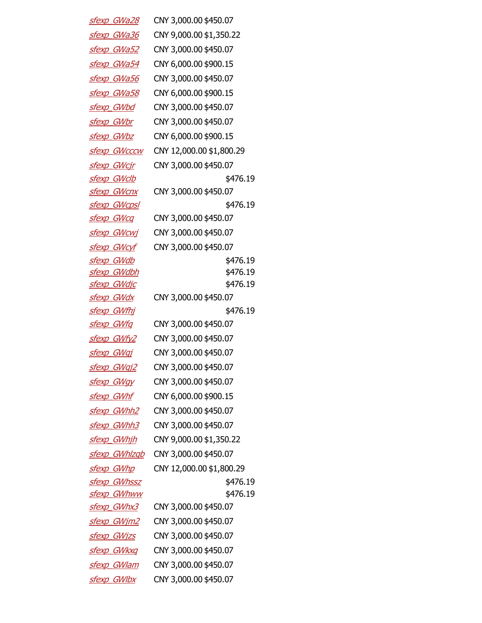| <u>sfexp GWa28</u>   | CNY 3,000.00 \$450.07    |
|----------------------|--------------------------|
| sfexp GWa36          | CNY 9,000.00 \$1,350.22  |
| <u>sfexp GWa52</u>   | CNY 3,000.00 \$450.07    |
| sfexp GWa54          | CNY 6,000.00 \$900.15    |
| sfexp GWa56          | CNY 3,000.00 \$450.07    |
| sfexp GWa58          | CNY 6,000.00 \$900.15    |
| sfexp GWbd           | CNY 3,000.00 \$450.07    |
| sfexp GWbr           | CNY 3,000.00 \$450.07    |
| <u>sfexp GWbz</u>    | CNY 6,000.00 \$900.15    |
| <u>sfexp GWcccw</u>  | CNY 12,000.00 \$1,800.29 |
| sfexp GWcjr          | CNY 3,000.00 \$450.07    |
| sfexp GWclb          | \$476.19                 |
| <u>sfexp GWcnx</u>   | CNY 3,000.00 \$450.07    |
| sfexp GWcpsl         | \$476.19                 |
| sfexp GWcq           | CNY 3,000.00 \$450.07    |
| sfexp GWcwj          | CNY 3,000.00 \$450.07    |
| sfexp GWcyf          | CNY 3,000.00 \$450.07    |
| <u>sfexp GWdb</u>    | \$476.19                 |
| <u>sfexp GWdbh</u>   | \$476.19                 |
| sfexp GWdjc          | \$476.19                 |
| <u>sfexp GWdx</u>    | CNY 3,000.00 \$450.07    |
| <u>sfexp GWfhj</u>   | \$476.19                 |
| sfexp GWfq           | CNY 3,000.00 \$450.07    |
| sfexp GWfy2          | CNY 3,000.00 \$450.07    |
| sfexp GWgj           | CNY 3,000.00 \$450.07    |
| <u>sfexp GWgj2</u>   | CNY 3,000.00 \$450.07    |
| <u>sfexp GWgy</u>    | CNY 3,000.00 \$450.07    |
| <u>sfexp GWhf</u>    | CNY 6,000.00 \$900.15    |
| <u>sfexp_GWhh2</u>   | CNY 3,000.00 \$450.07    |
| <u>sfexp_GWhh3</u>   | CNY 3,000.00 \$450.07    |
| sfexp GWhjh          | CNY 9,000.00 \$1,350.22  |
| <u>sfexp GWhlzgb</u> | CNY 3,000.00 \$450.07    |
| <u>sfexp GWhp</u>    | CNY 12,000.00 \$1,800.29 |
| sfexp GWhssz         | \$476.19                 |
| <u>sfexp_GWhww</u>   | \$476.19                 |
| <u>sfexp_GWhx3</u>   | CNY 3,000.00 \$450.07    |
| sfexp GWjm2          | CNY 3,000.00 \$450.07    |
| <u>sfexp_GWjzs</u>   | CNY 3,000.00 \$450.07    |
| <u>sfexp GWkxq</u>   | CNY 3,000.00 \$450.07    |
| <u>sfexp_GWlam</u>   | CNY 3,000.00 \$450.07    |
| sfexp GWlbx          | CNY 3,000.00 \$450.07    |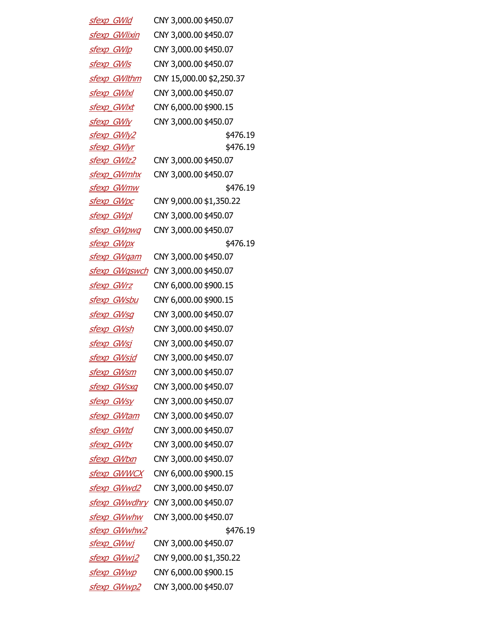| sfexp GWld           | CNY 3,000.00 \$450.07    |
|----------------------|--------------------------|
| sfexp GWlixin        | CNY 3,000.00 \$450.07    |
| sfexp GWIp           | CNY 3,000.00 \$450.07    |
| sfexp GWIs           | CNY 3,000.00 \$450.07    |
| <u>sfexp_GWlthm</u>  | CNY 15,000.00 \$2,250.37 |
| <b>sfexp GWIxl</b>   | CNY 3,000.00 \$450.07    |
| sfexp_GWlxt          | CNY 6,000.00 \$900.15    |
| sfexp GWly           | CNY 3,000.00 \$450.07    |
| sfexp GWly2          | \$476.19                 |
| sfexp GWlyr          | \$476.19                 |
| sfexp GWIz2          | CNY 3,000.00 \$450.07    |
| sfexp GWmhx          | CNY 3,000.00 \$450.07    |
| <u>sfexp_GWmw</u>    | \$476.19                 |
| sfexp GWpc           | CNY 9,000.00 \$1,350.22  |
| sfexp GWpl           | CNY 3,000.00 \$450.07    |
| sfexp GWpwq          | CNY 3,000.00 \$450.07    |
| sfexp GWpx           | \$476.19                 |
| sfexp GWgam          | CNY 3,000.00 \$450.07    |
| sfexp GWgswch        | CNY 3,000.00 \$450.07    |
| <u>sfexp GWrz</u>    | CNY 6,000.00 \$900.15    |
| sfexp GWsbu          | CNY 6,000.00 \$900.15    |
| sfexp GWsg           | CNY 3,000.00 \$450.07    |
| sfexp GWsh           | CNY 3,000.00 \$450.07    |
| sfexp GWsj           | CNY 3,000.00 \$450.07    |
| sfexp GWsjd          | CNY 3,000.00 \$450.07    |
| <u>sfexp_GWsm</u>    | CNY 3,000.00 \$450.07    |
| sfexp GWsxq          | CNY 3,000.00 \$450.07    |
| sfexp GWsy           | CNY 3,000.00 \$450.07    |
| sfexp GWtam          | CNY 3,000.00 \$450.07    |
| <u>sfexp GWtd</u>    | CNY 3,000.00 \$450.07    |
| sfexp GWtx           | CNY 3,000.00 \$450.07    |
| sfexp GWtxn          | CNY 3,000.00 \$450.07    |
| sfexp GWWCX          | CNY 6,000.00 \$900.15    |
| sfexp GWwd2          | CNY 3,000.00 \$450.07    |
| <u>sfexp GWwdhry</u> | CNY 3,000.00 \$450.07    |
| <u>sfexp_GWwhw</u>   | CNY 3,000.00 \$450.07    |
| sfexp GWwhw2         | \$476.19                 |
| <u>sfexp GWwj</u>    | CNY 3,000.00 \$450.07    |
| sfexp GWwj2          | CNY 9,000.00 \$1,350.22  |
| sfexp GWwp           | CNY 6,000.00 \$900.15    |
| sfexp GWwp2          | CNY 3,000.00 \$450.07    |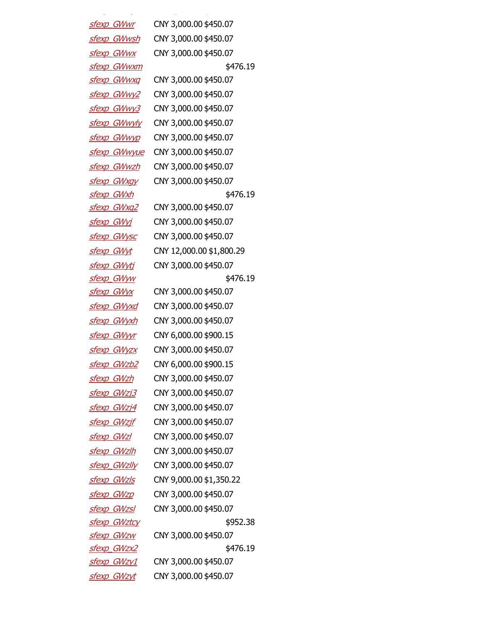| sfexp GWwr         | CNY 3,000.00 \$450.07    |
|--------------------|--------------------------|
| sfexp GWwsh        | CNY 3,000.00 \$450.07    |
| sfexp GWwx         | CNY 3,000.00 \$450.07    |
| sfexp GWwxm        | \$476.19                 |
| <u>sfexp GWwxq</u> | CNY 3,000.00 \$450.07    |
| sfexp GWwy2        | CNY 3,000.00 \$450.07    |
| <u>sfexp GWwy3</u> | CNY 3,000.00 \$450.07    |
| sfexp GWwyly       | CNY 3,000.00 \$450.07    |
| sfexp GWwyp        | CNY 3,000.00 \$450.07    |
| sfexp GWwyue       | CNY 3,000.00 \$450.07    |
| sfexp GWwzh        | CNY 3,000.00 \$450.07    |
| sfexp GWxgy        | CNY 3,000.00 \$450.07    |
| sfexp GWxh         | \$476.19                 |
| <u>sfexp GWxq2</u> | CNY 3,000.00 \$450.07    |
| sfexp GWyj         | CNY 3,000.00 \$450.07    |
| sfexp GWysc        | CNY 3,000.00 \$450.07    |
| <u>sfexp GWyt</u>  | CNY 12,000.00 \$1,800.29 |
| sfexp GWyti        | CNY 3,000.00 \$450.07    |
| <u>sfexp GWyw</u>  | \$476.19                 |
| <u>sfexp GWyx</u>  | CNY 3,000.00 \$450.07    |
| <u>sfexp GWyxd</u> | CNY 3,000.00 \$450.07    |
| <u>sfexp GWyxh</u> | CNY 3,000.00 \$450.07    |
| <u>sfexp GWyyr</u> | CNY 6,000.00 \$900.15    |
| <u>sfexp GWyzx</u> | CNY 3,000.00 \$450.07    |
| sfexp GWzb2        | CNY 6,000.00 \$900.15    |
| sfexp GWzh         | CNY 3,000.00 \$450.07    |
| sfexp GWzj3        | CNY 3,000.00 \$450.07    |
| sfexp GWzj4        | CNY 3,000.00 \$450.07    |
| sfexp GWzjf        | CNY 3,000.00 \$450.07    |
| <u>sfexp_GWzl</u>  | CNY 3,000.00 \$450.07    |
| sfexp GWzlh        | CNY 3,000.00 \$450.07    |
| sfexp GWzlly       | CNY 3,000.00 \$450.07    |
| sfexp GWzls        | CNY 9,000.00 \$1,350.22  |
| <u>sfexp_GWzp</u>  | CNY 3,000.00 \$450.07    |
| <u>sfexp_GWzsl</u> | CNY 3,000.00 \$450.07    |
| sfexp GWztcy       | \$952.38                 |
| sfexp GWzw         | CNY 3,000.00 \$450.07    |
| sfexp GWzx2        | \$476.19                 |
| <u>sfexp GWzy1</u> | CNY 3,000.00 \$450.07    |
| sfexp GWzyt        | CNY 3,000.00 \$450.07    |